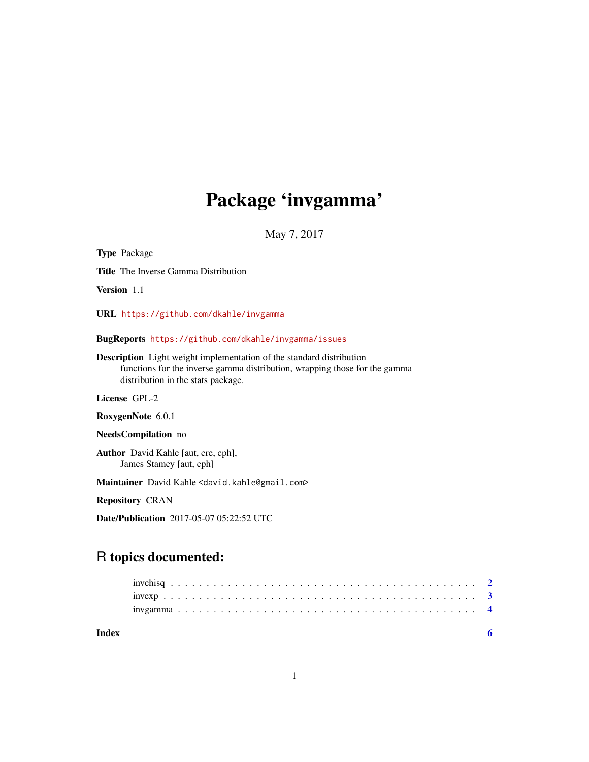## Package 'invgamma'

May 7, 2017

<span id="page-0-0"></span>Type Package Title The Inverse Gamma Distribution Version 1.1 URL <https://github.com/dkahle/invgamma> BugReports <https://github.com/dkahle/invgamma/issues> Description Light weight implementation of the standard distribution functions for the inverse gamma distribution, wrapping those for the gamma distribution in the stats package. License GPL-2 RoxygenNote 6.0.1 NeedsCompilation no Author David Kahle [aut, cre, cph], James Stamey [aut, cph] Maintainer David Kahle <david.kahle@gmail.com> Repository CRAN

Date/Publication 2017-05-07 05:22:52 UTC

### R topics documented:

| Index |  |  |  |  |  |  |  |  |  |  |  |  |  |  |  |  |  |  |  |  |  |  |
|-------|--|--|--|--|--|--|--|--|--|--|--|--|--|--|--|--|--|--|--|--|--|--|
|       |  |  |  |  |  |  |  |  |  |  |  |  |  |  |  |  |  |  |  |  |  |  |
|       |  |  |  |  |  |  |  |  |  |  |  |  |  |  |  |  |  |  |  |  |  |  |
|       |  |  |  |  |  |  |  |  |  |  |  |  |  |  |  |  |  |  |  |  |  |  |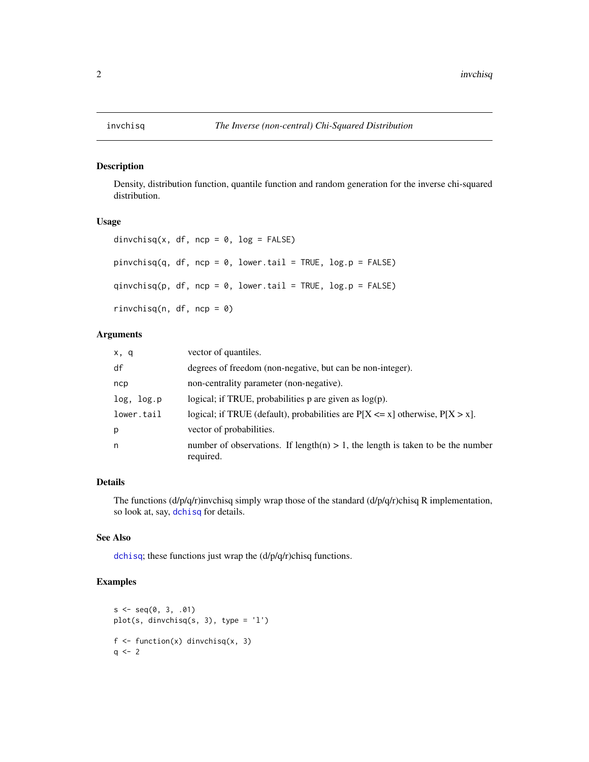<span id="page-1-0"></span>

#### Description

Density, distribution function, quantile function and random generation for the inverse chi-squared distribution.

#### Usage

```
dinvchisq(x, df, ncp = 0, log = FALSE)
pinvchisq(q, df, ncp = 0, lower.tail = TRUE, log.p = FALSE)qinvchisq(p, df, ncp = 0, lower.tail = TRUE, log.p = FALSE)
rinvchisq(n, df, ncp = \theta)
```
#### Arguments

| x, q       | vector of quantiles.                                                                           |
|------------|------------------------------------------------------------------------------------------------|
| df         | degrees of freedom (non-negative, but can be non-integer).                                     |
| ncp        | non-centrality parameter (non-negative).                                                       |
| log, log.p | logical; if TRUE, probabilities $p$ are given as $log(p)$ .                                    |
| lower.tail | logical; if TRUE (default), probabilities are $P[X \le x]$ otherwise, $P[X > x]$ .             |
| p          | vector of probabilities.                                                                       |
| n          | number of observations. If length(n) $> 1$ , the length is taken to be the number<br>required. |

#### Details

The functions  $\frac{d}{p}\left(\frac{d}{p}\right)$  invchisq simply wrap those of the standard  $\frac{d}{p}\left(\frac{d}{p}\right)$ chisq R implementation, so look at, say, [dchisq](#page-0-0) for details.

#### See Also

[dchisq](#page-0-0); these functions just wrap the (d/p/q/r)chisq functions.

#### Examples

```
s \leq -seq(0, 3, .01)plot(s, dinvchisq(s, 3), type = '1')
f \leftarrow function(x) dinvchisq(x, 3)
q \leq -2
```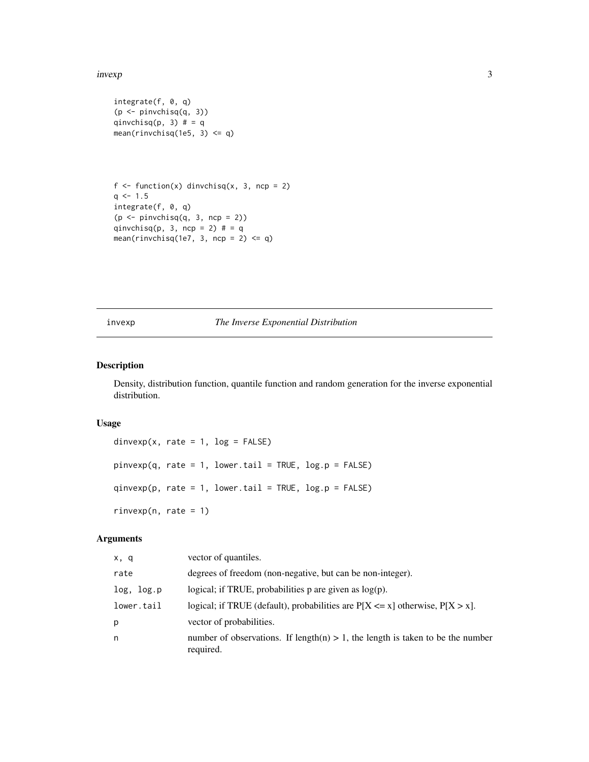#### <span id="page-2-0"></span>invexp 3

```
integrate(f, 0, q)
(p \leftarrow pinvchisq(q, 3))qinvchisq(p, 3) # = qmean(rinvchisq(1e5, 3) \leq q)
```

```
f \leftarrow function(x) dinvchisq(x, 3, ncp = 2)
q \le -1.5integrate(f, 0, q)
(p \le - pinvchisq(q, 3, ncp = 2)qinvchisq(p, 3, ncp = 2) # = qmean(rinvchisq(1e7, 3, ncp = 2) \leq q)
```
#### invexp *The Inverse Exponential Distribution*

#### Description

Density, distribution function, quantile function and random generation for the inverse exponential distribution.

#### Usage

```
dinvexp(x, rate = 1, log = FALSE)
pinvexp(q, rate = 1, lowertail = TRUE, log.p = FALSE)qinvexp(p, rate = 1, lowertail = TRUE, <math>log.p = FALSE)
rinvexp(n, rate = 1)
```
#### Arguments

| x, q       | vector of quantiles.                                                                           |
|------------|------------------------------------------------------------------------------------------------|
| rate       | degrees of freedom (non-negative, but can be non-integer).                                     |
| log, log.p | logical; if TRUE, probabilities $p$ are given as $log(p)$ .                                    |
| lower.tail | logical; if TRUE (default), probabilities are $P[X \le x]$ otherwise, $P[X > x]$ .             |
| р          | vector of probabilities.                                                                       |
| n          | number of observations. If length(n) $> 1$ , the length is taken to be the number<br>required. |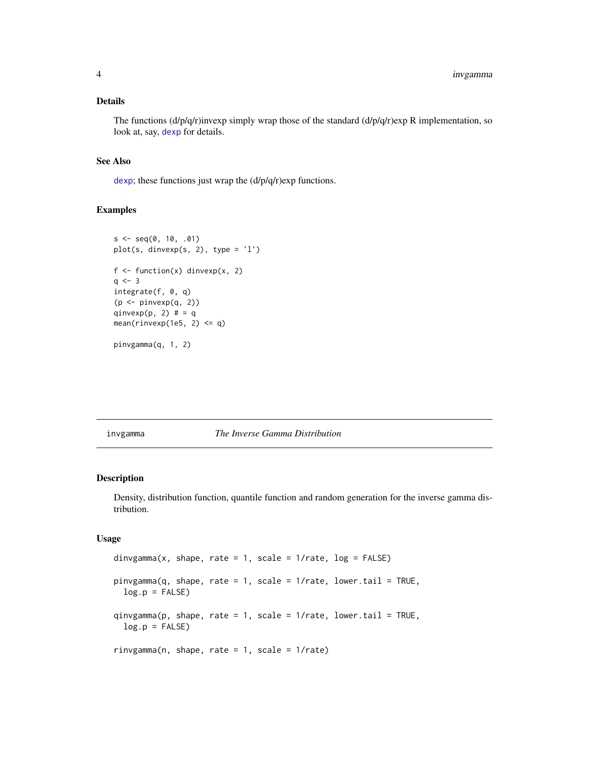#### <span id="page-3-0"></span>Details

The functions  $\frac{d}{p}{q}$ 'ninvexp simply wrap those of the standard  $\frac{d}{p}{q}$ 'nexp R implementation, so look at, say, [dexp](#page-0-0) for details.

#### See Also

[dexp](#page-0-0); these functions just wrap the  $(d/p/q/r)$ exp functions.

#### Examples

```
s \leq -seq(0, 10, .01)plot(s, dinvexp(s, 2), type = 'l')
f \leftarrow function(x) dinvexp(x, 2)
q \le -3integrate(f, 0, q)
(p \leftarrow pinvexp(q, 2)qinvexp(p, 2) # = qmean(rinvexp(1e5, 2) \leq q)
pinvgamma(q, 1, 2)
```
invgamma *The Inverse Gamma Distribution*

#### Description

Density, distribution function, quantile function and random generation for the inverse gamma distribution.

#### Usage

```
dinvgamma(x, shape, rate = 1, scale = 1/rate, log = FALSE)
pinvgamma(q, shape, rate = 1, scale = 1/rate, lower.tail = TRUE,
 log.p = FALSEqinvgamma(p, shape, rate = 1, scale = 1/rate, lowertail = TRUE,log.p = FALSErinvgamma(n, shape, rate = 1, scale = 1/rate)
```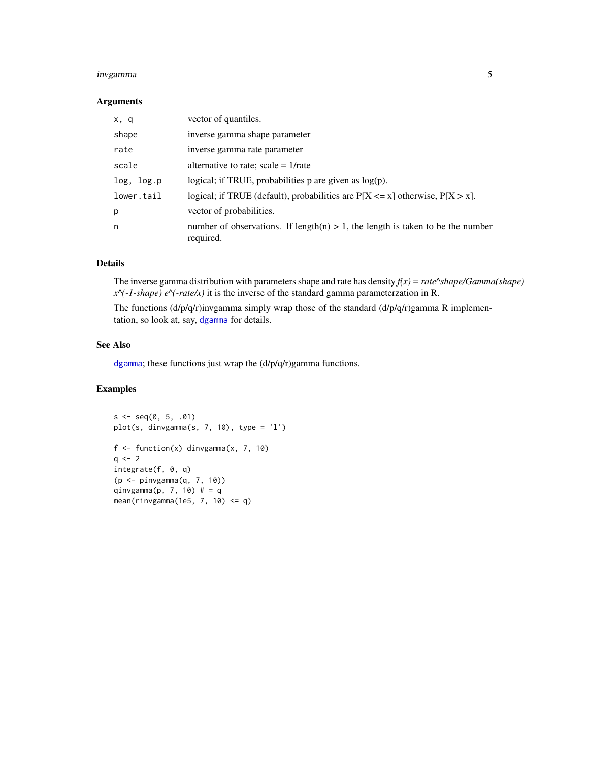#### <span id="page-4-0"></span>invgamma 5

#### Arguments

| x, q       | vector of quantiles.                                                                           |
|------------|------------------------------------------------------------------------------------------------|
| shape      | inverse gamma shape parameter                                                                  |
| rate       | inverse gamma rate parameter                                                                   |
| scale      | alternative to rate; scale = $1$ /rate                                                         |
| log, log.p | logical; if TRUE, probabilities $p$ are given as $log(p)$ .                                    |
| lower.tail | logical; if TRUE (default), probabilities are $P[X \le x]$ otherwise, $P[X > x]$ .             |
| p          | vector of probabilities.                                                                       |
| n          | number of observations. If length(n) $> 1$ , the length is taken to be the number<br>required. |

#### Details

The inverse gamma distribution with parameters shape and rate has density  $f(x) = rate^s shape/Gamma(shape)$ *x^(-1-shape) e^(-rate/x)* it is the inverse of the standard gamma parameterzation in R.

The functions  $\frac{d}{p}\left(\frac{d}{r}\right)$ invgamma simply wrap those of the standard  $\frac{d}{p}\left(\frac{d}{p}\right)$ gamma R implementation, so look at, say, [dgamma](#page-0-0) for details.

#### See Also

[dgamma](#page-0-0); these functions just wrap the (d/p/q/r)gamma functions.

#### Examples

```
s \leq - \text{seq}(0, 5, .01)plot(s, dinvgamma(s, 7, 10), type = 'l')
f \leftarrow function(x) dinvgamma(x, 7, 10)q \le -2integrate(f, 0, q)
(p <- pinvgamma(q, 7, 10))
qinvgamma(p, 7, 10) # = qmean(rinvgamma(1e5, 7, 10) <= q)
```